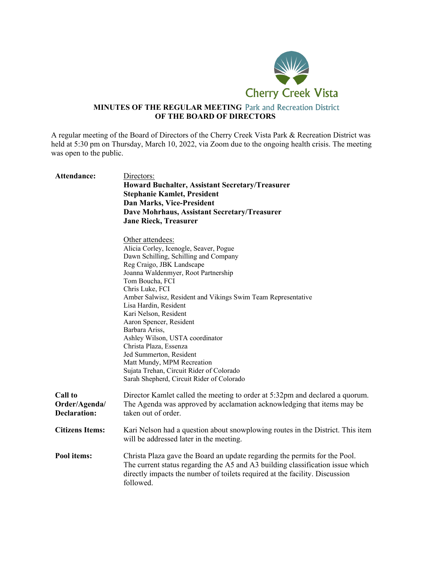

## **MINUTES OF THE REGULAR MEETING** Park and Recreation District **OF THE BOARD OF DIRECTORS**

A regular meeting of the Board of Directors of the Cherry Creek Vista Park & Recreation District was held at 5:30 pm on Thursday, March 10, 2022, via Zoom due to the ongoing health crisis. The meeting was open to the public.

| <b>Attendance:</b>                                     | Directors:<br><b>Howard Buchalter, Assistant Secretary/Treasurer</b><br><b>Stephanie Kamlet, President</b><br>Dan Marks, Vice-President<br>Dave Mohrhaus, Assistant Secretary/Treasurer<br><b>Jane Rieck, Treasurer</b>                                                                                                                                                                                                                                                                                                                                                                     |
|--------------------------------------------------------|---------------------------------------------------------------------------------------------------------------------------------------------------------------------------------------------------------------------------------------------------------------------------------------------------------------------------------------------------------------------------------------------------------------------------------------------------------------------------------------------------------------------------------------------------------------------------------------------|
|                                                        | Other attendees:<br>Alicia Corley, Icenogle, Seaver, Pogue<br>Dawn Schilling, Schilling and Company<br>Reg Craigo, JBK Landscape<br>Joanna Waldenmyer, Root Partnership<br>Tom Boucha, FCI<br>Chris Luke, FCI<br>Amber Salwisz, Resident and Vikings Swim Team Representative<br>Lisa Hardin, Resident<br>Kari Nelson, Resident<br>Aaron Spencer, Resident<br>Barbara Ariss,<br>Ashley Wilson, USTA coordinator<br>Christa Plaza, Essenza<br>Jed Summerton, Resident<br>Matt Mundy, MPM Recreation<br>Sujata Trehan, Circuit Rider of Colorado<br>Sarah Shepherd, Circuit Rider of Colorado |
| <b>Call to</b><br>Order/Agenda/<br><b>Declaration:</b> | Director Kamlet called the meeting to order at 5:32pm and declared a quorum.<br>The Agenda was approved by acclamation acknowledging that items may be<br>taken out of order.                                                                                                                                                                                                                                                                                                                                                                                                               |
| <b>Citizens Items:</b>                                 | Kari Nelson had a question about snowplowing routes in the District. This item<br>will be addressed later in the meeting.                                                                                                                                                                                                                                                                                                                                                                                                                                                                   |
| Pool items:                                            | Christa Plaza gave the Board an update regarding the permits for the Pool.<br>The current status regarding the A5 and A3 building classification issue which<br>directly impacts the number of toilets required at the facility. Discussion<br>followed.                                                                                                                                                                                                                                                                                                                                    |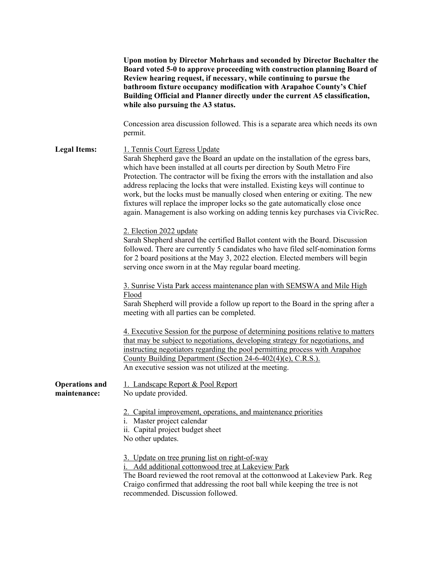|                                       | Upon motion by Director Mohrhaus and seconded by Director Buchalter the<br>Board voted 5-0 to approve proceeding with construction planning Board of<br>Review hearing request, if necessary, while continuing to pursue the<br>bathroom fixture occupancy modification with Arapahoe County's Chief<br>Building Official and Planner directly under the current A5 classification,<br>while also pursuing the A3 status.                                                                                                                                                                                                   |
|---------------------------------------|-----------------------------------------------------------------------------------------------------------------------------------------------------------------------------------------------------------------------------------------------------------------------------------------------------------------------------------------------------------------------------------------------------------------------------------------------------------------------------------------------------------------------------------------------------------------------------------------------------------------------------|
|                                       | Concession area discussion followed. This is a separate area which needs its own<br>permit.                                                                                                                                                                                                                                                                                                                                                                                                                                                                                                                                 |
| <b>Legal Items:</b>                   | 1. Tennis Court Egress Update<br>Sarah Shepherd gave the Board an update on the installation of the egress bars,<br>which have been installed at all courts per direction by South Metro Fire<br>Protection. The contractor will be fixing the errors with the installation and also<br>address replacing the locks that were installed. Existing keys will continue to<br>work, but the locks must be manually closed when entering or exiting. The new<br>fixtures will replace the improper locks so the gate automatically close once<br>again. Management is also working on adding tennis key purchases via CivicRec. |
|                                       | 2. Election 2022 update<br>Sarah Shepherd shared the certified Ballot content with the Board. Discussion<br>followed. There are currently 5 candidates who have filed self-nomination forms<br>for 2 board positions at the May 3, 2022 election. Elected members will begin<br>serving once sworn in at the May regular board meeting.                                                                                                                                                                                                                                                                                     |
|                                       | 3. Sunrise Vista Park access maintenance plan with SEMSWA and Mile High<br><u>Flood</u><br>Sarah Shepherd will provide a follow up report to the Board in the spring after a<br>meeting with all parties can be completed.                                                                                                                                                                                                                                                                                                                                                                                                  |
|                                       | 4. Executive Session for the purpose of determining positions relative to matters<br>that may be subject to negotiations, developing strategy for negotiations, and<br>instructing negotiators regarding the pool permitting process with Arapahoe<br>County Building Department (Section 24-6-402(4)(e), C.R.S.).<br>An executive session was not utilized at the meeting.                                                                                                                                                                                                                                                 |
| <b>Operations and</b><br>maintenance: | 1. Landscape Report & Pool Report<br>No update provided.                                                                                                                                                                                                                                                                                                                                                                                                                                                                                                                                                                    |
|                                       | 2. Capital improvement, operations, and maintenance priorities<br>i. Master project calendar<br>ii. Capital project budget sheet<br>No other updates.                                                                                                                                                                                                                                                                                                                                                                                                                                                                       |
|                                       | 3. Update on tree pruning list on right-of-way<br>i. Add additional cottonwood tree at Lakeview Park<br>The Board reviewed the root removal at the cottonwood at Lakeview Park. Reg<br>Craigo confirmed that addressing the root ball while keeping the tree is not<br>recommended. Discussion followed.                                                                                                                                                                                                                                                                                                                    |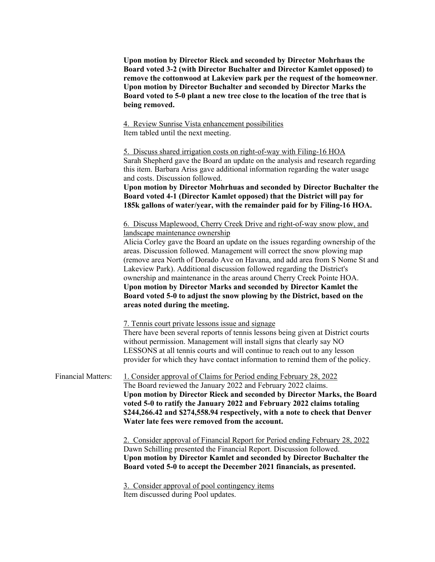**Upon motion by Director Rieck and seconded by Director Mohrhaus the Board voted 3-2 (with Director Buchalter and Director Kamlet opposed) to remove the cottonwood at Lakeview park per the request of the homeowner**. **Upon motion by Director Buchalter and seconded by Director Marks the Board voted to 5-0 plant a new tree close to the location of the tree that is being removed.**

4. Review Sunrise Vista enhancement possibilities Item tabled until the next meeting.

5. Discuss shared irrigation costs on right-of-way with Filing-16 HOA Sarah Shepherd gave the Board an update on the analysis and research regarding this item. Barbara Ariss gave additional information regarding the water usage and costs. Discussion followed. **Upon motion by Director Mohrhuas and seconded by Director Buchalter the Board voted 4-1 (Director Kamlet opposed) that the District will pay for 185k gallons of water/year, with the remainder paid for by Filing-16 HOA.** 6. Discuss Maplewood, Cherry Creek Drive and right-of-way snow plow, and landscape maintenance ownership Alicia Corley gave the Board an update on the issues regarding ownership of the areas. Discussion followed. Management will correct the snow plowing map (remove area North of Dorado Ave on Havana, and add area from S Nome St and Lakeview Park). Additional discussion followed regarding the District's ownership and maintenance in the areas around Cherry Creek Pointe HOA. **Upon motion by Director Marks and seconded by Director Kamlet the Board voted 5-0 to adjust the snow plowing by the District, based on the areas noted during the meeting.** 7. Tennis court private lessons issue and signage There have been several reports of tennis lessons being given at District courts without permission. Management will install signs that clearly say NO LESSONS at all tennis courts and will continue to reach out to any lesson provider for which they have contact information to remind them of the policy. Financial Matters: 1. Consider approval of Claims for Period ending February 28, 2022

The Board reviewed the January 2022 and February 2022 claims. **Upon motion by Director Rieck and seconded by Director Marks, the Board voted 5-0 to ratify the January 2022 and February 2022 claims totaling \$244,266.42 and \$274,558.94 respectively, with a note to check that Denver Water late fees were removed from the account.**

> 2. Consider approval of Financial Report for Period ending February 28, 2022 Dawn Schilling presented the Financial Report. Discussion followed. **Upon motion by Director Kamlet and seconded by Director Buchalter the Board voted 5-0 to accept the December 2021 financials, as presented.**

3. Consider approval of pool contingency items Item discussed during Pool updates.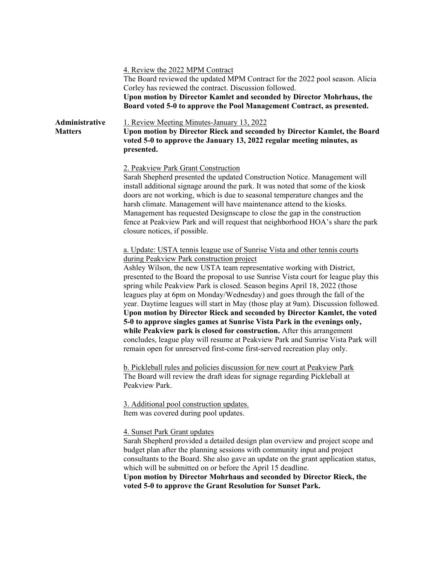|                                  | 4. Review the 2022 MPM Contract<br>The Board reviewed the updated MPM Contract for the 2022 pool season. Alicia<br>Corley has reviewed the contract. Discussion followed.<br>Upon motion by Director Kamlet and seconded by Director Mohrhaus, the<br>Board voted 5-0 to approve the Pool Management Contract, as presented.                                                                                                                                                                                                                                                                                                                                                                                                                                                                                                                                                                                                             |
|----------------------------------|------------------------------------------------------------------------------------------------------------------------------------------------------------------------------------------------------------------------------------------------------------------------------------------------------------------------------------------------------------------------------------------------------------------------------------------------------------------------------------------------------------------------------------------------------------------------------------------------------------------------------------------------------------------------------------------------------------------------------------------------------------------------------------------------------------------------------------------------------------------------------------------------------------------------------------------|
| Administrative<br><b>Matters</b> | 1. Review Meeting Minutes-January 13, 2022<br>Upon motion by Director Rieck and seconded by Director Kamlet, the Board<br>voted 5-0 to approve the January 13, 2022 regular meeting minutes, as<br>presented.                                                                                                                                                                                                                                                                                                                                                                                                                                                                                                                                                                                                                                                                                                                            |
|                                  | 2. Peakview Park Grant Construction<br>Sarah Shepherd presented the updated Construction Notice. Management will<br>install additional signage around the park. It was noted that some of the kiosk<br>doors are not working, which is due to seasonal temperature changes and the<br>harsh climate. Management will have maintenance attend to the kiosks.<br>Management has requested Designscape to close the gap in the construction<br>fence at Peakview Park and will request that neighborhood HOA's share the park<br>closure notices, if possible.                                                                                                                                                                                                                                                                                                                                                                              |
|                                  | a. Update: USTA tennis league use of Sunrise Vista and other tennis courts<br>during Peakview Park construction project<br>Ashley Wilson, the new USTA team representative working with District,<br>presented to the Board the proposal to use Sunrise Vista court for league play this<br>spring while Peakview Park is closed. Season begins April 18, 2022 (those<br>leagues play at 6pm on Monday/Wednesday) and goes through the fall of the<br>year. Daytime leagues will start in May (those play at 9am). Discussion followed.<br>Upon motion by Director Rieck and seconded by Director Kamlet, the voted<br>5-0 to approve singles games at Sunrise Vista Park in the evenings only,<br>while Peakview park is closed for construction. After this arrangement<br>concludes, league play will resume at Peakview Park and Sunrise Vista Park will<br>remain open for unreserved first-come first-served recreation play only. |
|                                  | b. Pickleball rules and policies discussion for new court at Peakview Park<br>The Board will review the draft ideas for signage regarding Pickleball at<br>Peakview Park.                                                                                                                                                                                                                                                                                                                                                                                                                                                                                                                                                                                                                                                                                                                                                                |
|                                  | 3. Additional pool construction updates.<br>Item was covered during pool updates.                                                                                                                                                                                                                                                                                                                                                                                                                                                                                                                                                                                                                                                                                                                                                                                                                                                        |
|                                  | 4. Sunset Park Grant updates<br>Sarah Shepherd provided a detailed design plan overview and project scope and<br>budget plan after the planning sessions with community input and project<br>consultants to the Board. She also gave an update on the grant application status,<br>which will be submitted on or before the April 15 deadline.<br>Upon motion by Director Mohrhaus and seconded by Director Rieck, the<br>voted 5-0 to approve the Grant Resolution for Sunset Park.                                                                                                                                                                                                                                                                                                                                                                                                                                                     |